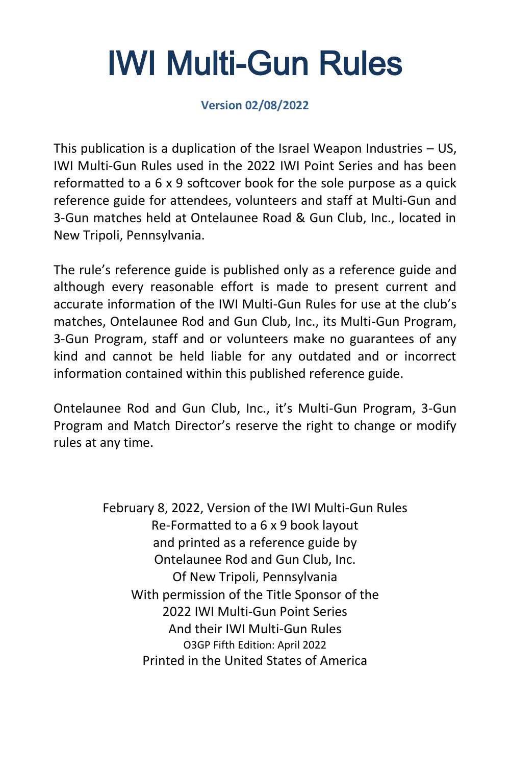# IWI Multi-Gun Rules

**Version 02/08/2022**

This publication is a duplication of the Israel Weapon Industries – US, IWI Multi-Gun Rules used in the 2022 IWI Point Series and has been reformatted to a 6 x 9 softcover book for the sole purpose as a quick reference guide for attendees, volunteers and staff at Multi-Gun and 3-Gun matches held at Ontelaunee Road & Gun Club, Inc., located in New Tripoli, Pennsylvania.

The rule's reference guide is published only as a reference guide and although every reasonable effort is made to present current and accurate information of the IWI Multi-Gun Rules for use at the club's matches, Ontelaunee Rod and Gun Club, Inc., its Multi-Gun Program, 3-Gun Program, staff and or volunteers make no guarantees of any kind and cannot be held liable for any outdated and or incorrect information contained within this published reference guide.

Ontelaunee Rod and Gun Club, Inc., it's Multi-Gun Program, 3-Gun Program and Match Director's reserve the right to change or modify rules at any time.

> February 8, 2022, Version of the IWI Multi-Gun Rules Re-Formatted to a 6 x 9 book layout and printed as a reference guide by Ontelaunee Rod and Gun Club, Inc. Of New Tripoli, Pennsylvania With permission of the Title Sponsor of the 2022 IWI Multi-Gun Point Series And their IWI Multi-Gun Rules O3GP Fifth Edition: April 2022 Printed in the United States of America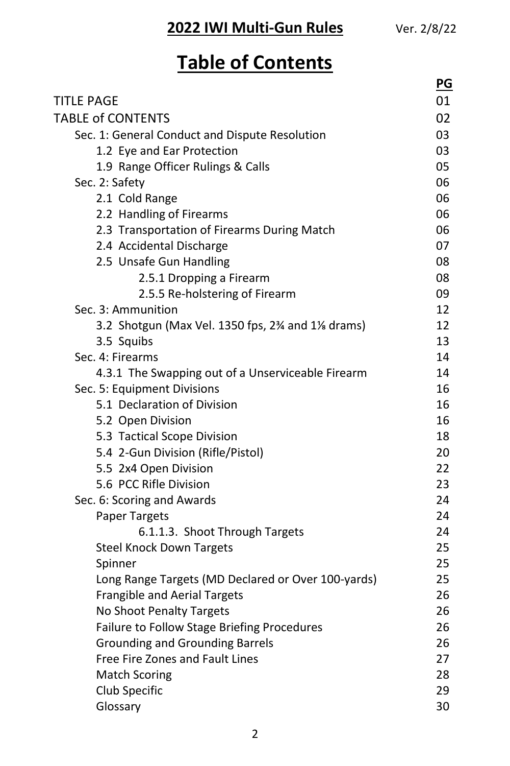## **Table of Contents**

|                                                                                                        | <u>PG</u> |
|--------------------------------------------------------------------------------------------------------|-----------|
| <b>TITLE PAGE</b>                                                                                      | 01        |
| <b>TABLE of CONTENTS</b>                                                                               | 02        |
| Sec. 1: General Conduct and Dispute Resolution                                                         | 03        |
| 1.2 Eye and Ear Protection                                                                             | 03        |
| 1.9 Range Officer Rulings & Calls                                                                      | 05        |
| Sec. 2: Safety                                                                                         | 06        |
| 2.1 Cold Range                                                                                         | 06        |
| 2.2 Handling of Firearms                                                                               | 06        |
| 2.3 Transportation of Firearms During Match                                                            | 06        |
| 2.4 Accidental Discharge                                                                               | 07        |
| 2.5 Unsafe Gun Handling                                                                                | 08        |
| 2.5.1 Dropping a Firearm                                                                               | 08        |
| 2.5.5 Re-holstering of Firearm                                                                         | 09        |
| Sec. 3: Ammunition                                                                                     | 12        |
| 3.2 Shotgun (Max Vel. 1350 fps, 2 <sup>3</sup> / <sub>4</sub> and 1 <sup>1</sup> / <sub>8</sub> drams) | 12        |
| 3.5 Squibs                                                                                             | 13        |
| Sec. 4: Firearms                                                                                       | 14        |
| 4.3.1 The Swapping out of a Unserviceable Firearm                                                      | 14        |
| Sec. 5: Equipment Divisions                                                                            | 16        |
| 5.1 Declaration of Division                                                                            | 16        |
| 5.2 Open Division                                                                                      | 16        |
| 5.3 Tactical Scope Division                                                                            | 18        |
| 5.4 2-Gun Division (Rifle/Pistol)                                                                      | 20        |
| 5.5 2x4 Open Division                                                                                  | 22        |
| 5.6 PCC Rifle Division                                                                                 | 23        |
| Sec. 6: Scoring and Awards                                                                             | 24        |
| <b>Paper Targets</b>                                                                                   | 24        |
| 6.1.1.3. Shoot Through Targets                                                                         | 24        |
| <b>Steel Knock Down Targets</b>                                                                        | 25        |
| Spinner                                                                                                | 25        |
| Long Range Targets (MD Declared or Over 100-yards)                                                     | 25        |
| <b>Frangible and Aerial Targets</b>                                                                    | 26        |
| No Shoot Penalty Targets                                                                               | 26        |
| Failure to Follow Stage Briefing Procedures                                                            | 26        |
| <b>Grounding and Grounding Barrels</b>                                                                 | 26        |
| Free Fire Zones and Fault Lines                                                                        | 27        |
| <b>Match Scoring</b>                                                                                   | 28        |
| Club Specific                                                                                          | 29        |
| Glossary                                                                                               | 30        |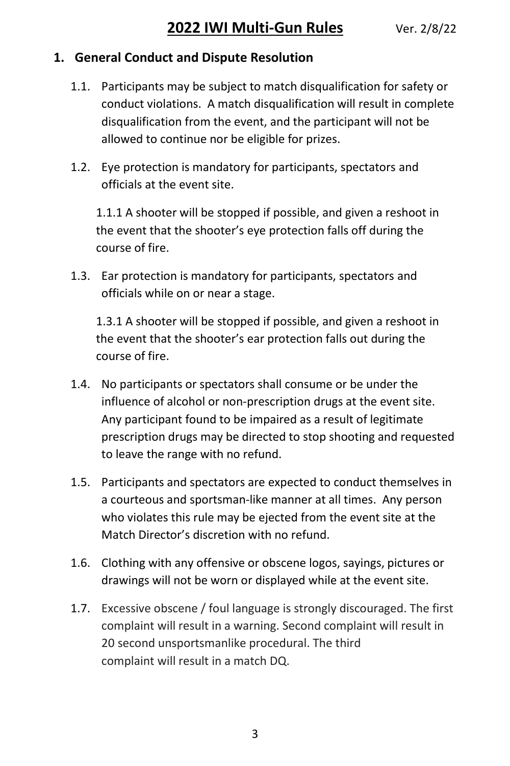#### **1. General Conduct and Dispute Resolution**

- 1.1. Participants may be subject to match disqualification for safety or conduct violations. A match disqualification will result in complete disqualification from the event, and the participant will not be allowed to continue nor be eligible for prizes.
- 1.2. Eye protection is mandatory for participants, spectators and officials at the event site.

1.1.1 A shooter will be stopped if possible, and given a reshoot in the event that the shooter's eye protection falls off during the course of fire.

1.3. Ear protection is mandatory for participants, spectators and officials while on or near a stage.

1.3.1 A shooter will be stopped if possible, and given a reshoot in the event that the shooter's ear protection falls out during the course of fire.

- 1.4. No participants or spectators shall consume or be under the influence of alcohol or non-prescription drugs at the event site. Any participant found to be impaired as a result of legitimate prescription drugs may be directed to stop shooting and requested to leave the range with no refund.
- 1.5. Participants and spectators are expected to conduct themselves in a courteous and sportsman-like manner at all times. Any person who violates this rule may be ejected from the event site at the Match Director's discretion with no refund.
- 1.6. Clothing with any offensive or obscene logos, sayings, pictures or drawings will not be worn or displayed while at the event site.
- 1.7. Excessive obscene / foul language is strongly discouraged. The first complaint will result in a warning. Second complaint will result in 20 second unsportsmanlike procedural. The third complaint will result in a match DQ.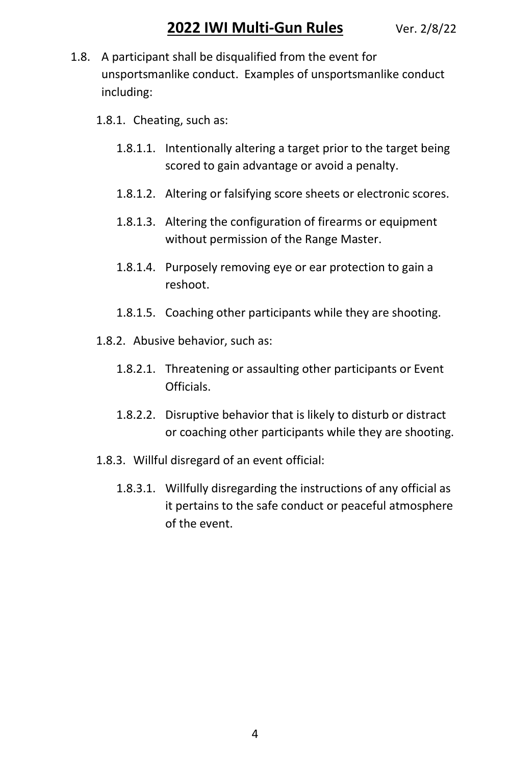- 1.8. A participant shall be disqualified from the event for unsportsmanlike conduct. Examples of unsportsmanlike conduct including:
	- 1.8.1. Cheating, such as:
		- 1.8.1.1. Intentionally altering a target prior to the target being scored to gain advantage or avoid a penalty.
		- 1.8.1.2. Altering or falsifying score sheets or electronic scores.
		- 1.8.1.3. Altering the configuration of firearms or equipment without permission of the Range Master.
		- 1.8.1.4. Purposely removing eye or ear protection to gain a reshoot.
		- 1.8.1.5. Coaching other participants while they are shooting.
	- 1.8.2. Abusive behavior, such as:
		- 1.8.2.1. Threatening or assaulting other participants or Event Officials.
		- 1.8.2.2. Disruptive behavior that is likely to disturb or distract or coaching other participants while they are shooting.
	- 1.8.3. Willful disregard of an event official:
		- 1.8.3.1. Willfully disregarding the instructions of any official as it pertains to the safe conduct or peaceful atmosphere of the event.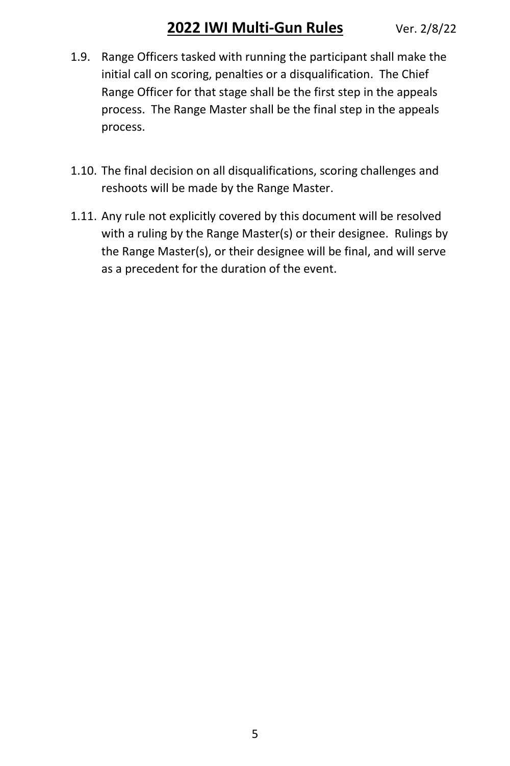- 1.9. Range Officers tasked with running the participant shall make the initial call on scoring, penalties or a disqualification. The Chief Range Officer for that stage shall be the first step in the appeals process. The Range Master shall be the final step in the appeals process.
- 1.10. The final decision on all disqualifications, scoring challenges and reshoots will be made by the Range Master.
- 1.11. Any rule not explicitly covered by this document will be resolved with a ruling by the Range Master(s) or their designee. Rulings by the Range Master(s), or their designee will be final, and will serve as a precedent for the duration of the event.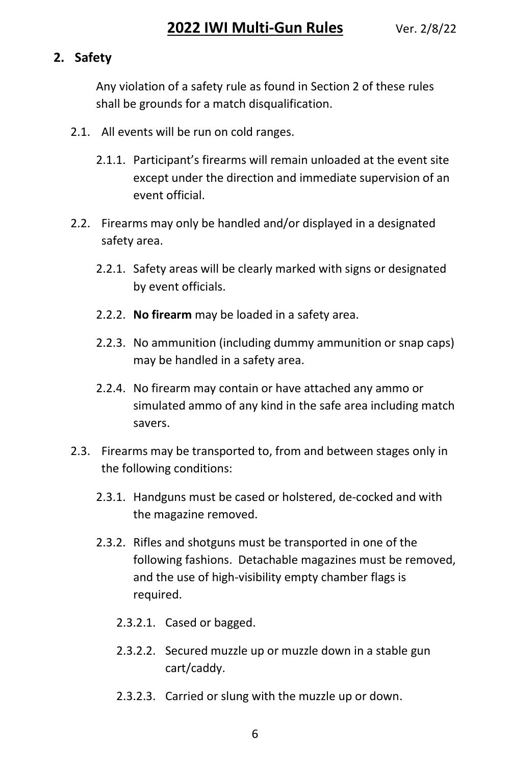#### **2. Safety**

Any violation of a safety rule as found in Section 2 of these rules shall be grounds for a match disqualification.

- 2.1. All events will be run on cold ranges.
	- 2.1.1. Participant's firearms will remain unloaded at the event site except under the direction and immediate supervision of an event official.
- 2.2. Firearms may only be handled and/or displayed in a designated safety area.
	- 2.2.1. Safety areas will be clearly marked with signs or designated by event officials.
	- 2.2.2. **No firearm** may be loaded in a safety area.
	- 2.2.3. No ammunition (including dummy ammunition or snap caps) may be handled in a safety area.
	- 2.2.4. No firearm may contain or have attached any ammo or simulated ammo of any kind in the safe area including match savers.
- 2.3. Firearms may be transported to, from and between stages only in the following conditions:
	- 2.3.1. Handguns must be cased or holstered, de-cocked and with the magazine removed.
	- 2.3.2. Rifles and shotguns must be transported in one of the following fashions. Detachable magazines must be removed, and the use of high-visibility empty chamber flags is required.
		- 2.3.2.1. Cased or bagged.
		- 2.3.2.2. Secured muzzle up or muzzle down in a stable gun cart/caddy.
		- 2.3.2.3. Carried or slung with the muzzle up or down.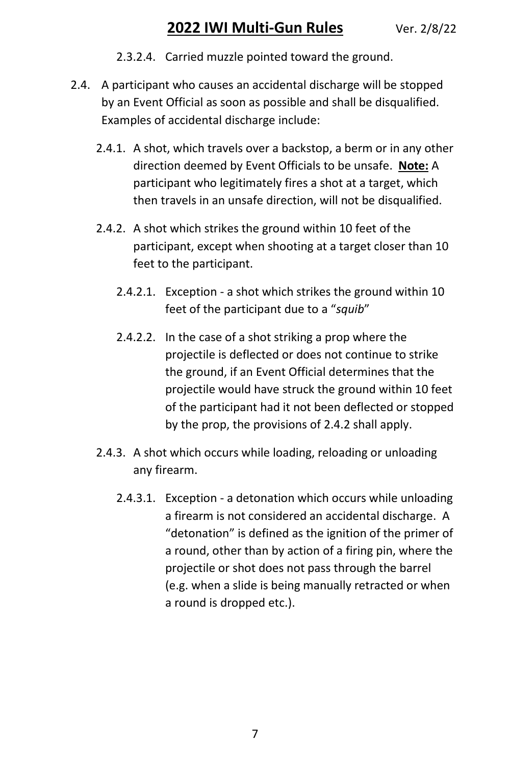- 2.3.2.4. Carried muzzle pointed toward the ground.
- <span id="page-6-0"></span>2.4. A participant who causes an accidental discharge will be stopped by an Event Official as soon as possible and shall be disqualified. Examples of accidental discharge include:
	- 2.4.1. A shot, which travels over a backstop, a berm or in any other direction deemed by Event Officials to be unsafe. **Note:** A participant who legitimately fires a shot at a target, which then travels in an unsafe direction, will not be disqualified.
	- 2.4.2. A shot which strikes the ground within 10 feet of the participant, except when shooting at a target closer than 10 feet to the participant.
		- 2.4.2.1. Exception a shot which strikes the ground within 10 feet of the participant due to a "*squib*"
		- 2.4.2.2. In the case of a shot striking a prop where the projectile is deflected or does not continue to strike the ground, if an Event Official determines that the projectile would have struck the ground within 10 feet of the participant had it not been deflected or stopped by the prop, the provisions of [2.4.2](#page-6-0) shall apply.
	- 2.4.3. A shot which occurs while loading, reloading or unloading any firearm.
		- 2.4.3.1. Exception a detonation which occurs while unloading a firearm is not considered an accidental discharge. A "detonation" is defined as the ignition of the primer of a round, other than by action of a firing pin, where the projectile or shot does not pass through the barrel (e.g. when a slide is being manually retracted or when a round is dropped etc.).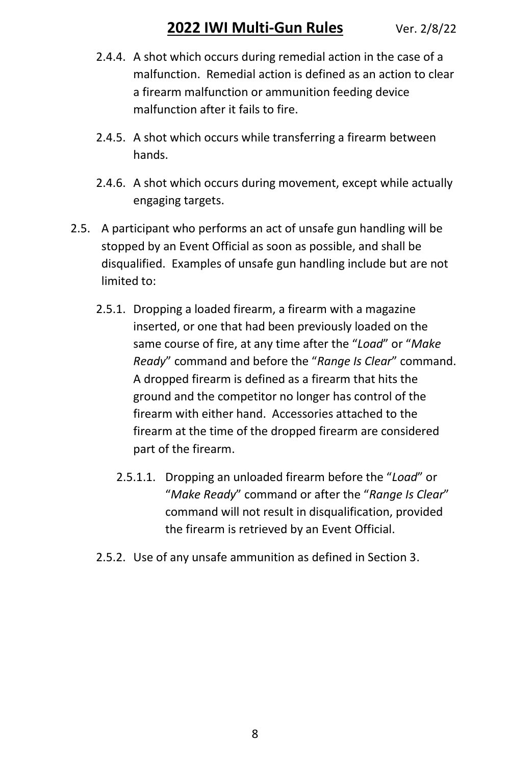- 2.4.4. A shot which occurs during remedial action in the case of a malfunction. Remedial action is defined as an action to clear a firearm malfunction or ammunition feeding device malfunction after it fails to fire.
- 2.4.5. A shot which occurs while transferring a firearm between hands.
- 2.4.6. A shot which occurs during movement, except while actually engaging targets.
- 2.5. A participant who performs an act of unsafe gun handling will be stopped by an Event Official as soon as possible, and shall be disqualified. Examples of unsafe gun handling include but are not limited to:
	- 2.5.1. Dropping a loaded firearm, a firearm with a magazine inserted, or one that had been previously loaded on the same course of fire, at any time after the "*Load*" or "*Make Ready*" command and before the "*Range Is Clear*" command. A dropped firearm is defined as a firearm that hits the ground and the competitor no longer has control of the firearm with either hand. Accessories attached to the firearm at the time of the dropped firearm are considered part of the firearm.
		- 2.5.1.1. Dropping an unloaded firearm before the "*Load*" or "*Make Ready*" command or after the "*Range Is Clear*" command will not result in disqualification, provided the firearm is retrieved by an Event Official.
	- 2.5.2. Use of any unsafe ammunition as defined in Section 3.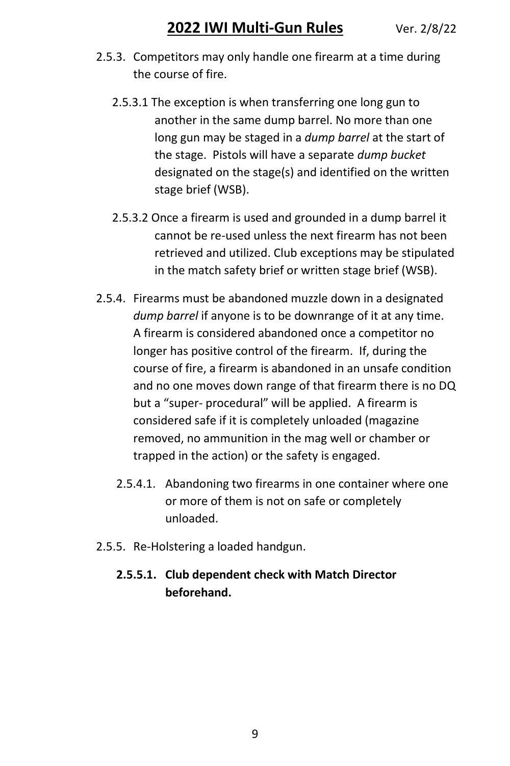- 2.5.3. Competitors may only handle one firearm at a time during the course of fire.
	- 2.5.3.1 The exception is when transferring one long gun to another in the same dump barrel. No more than one long gun may be staged in a *dump barrel* at the start of the stage. Pistols will have a separate *dump bucket* designated on the stage(s) and identified on the written stage brief (WSB).
	- 2.5.3.2 Once a firearm is used and grounded in a dump barrel it cannot be re-used unless the next firearm has not been retrieved and utilized. Club exceptions may be stipulated in the match safety brief or written stage brief (WSB).
- 2.5.4. Firearms must be abandoned muzzle down in a designated dump barrel if anyone is to be downrange of it at any time. A firearm is considered abandoned once a competitor no longer has positive control of the firearm. If, during the course of fire, a firearm is abandoned in an unsafe condition and no one moves down range of that firearm there is no DQ but a "super- procedural" will be applied. A firearm is considered safe if it is completely unloaded (magazine removed, no ammunition in the mag well or chamber or trapped in the action) or the safety is engaged.
	- 2.5.4.1. Abandoning two firearms in one container where one or more of them is not on safe or completely unloaded.
- 2.5.5. Re-Holstering a loaded handgun.

#### **2.5.5.1. Club dependent check with Match Director beforehand.**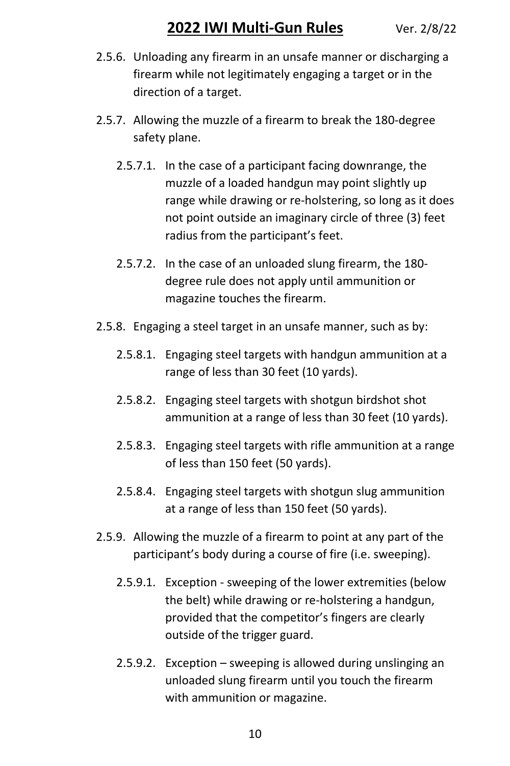- 2.5.6. Unloading any firearm in an unsafe manner or discharging a firearm while not legitimately engaging a target or in the direction of a target.
- 2.5.7. Allowing the muzzle of a firearm to break the 180-degree safety plane.
	- 2.5.7.1. In the case of a participant facing downrange, the muzzle of a loaded handgun may point slightly up range while drawing or re-holstering, so long as it does not point outside an imaginary circle of three (3) feet radius from the participant's feet.
	- 2.5.7.2. In the case of an unloaded slung firearm, the 180 degree rule does not apply until ammunition or magazine touches the firearm.
- 2.5.8. Engaging a steel target in an unsafe manner, such as by:
	- 2.5.8.1. Engaging steel targets with handgun ammunition at a range of less than 30 feet (10 yards).
	- 2.5.8.2. Engaging steel targets with shotgun birdshot shot ammunition at a range of less than 30 feet (10 yards).
	- 2.5.8.3. Engaging steel targets with rifle ammunition at a range of less than 150 feet (50 yards).
	- 2.5.8.4. Engaging steel targets with shotgun slug ammunition at a range of less than 150 feet (50 yards).
- 2.5.9. Allowing the muzzle of a firearm to point at any part of the participant's body during a course of fire (i.e. sweeping).
	- 2.5.9.1. Exception sweeping of the lower extremities (below the belt) while drawing or re-holstering a handgun, provided that the competitor's fingers are clearly outside of the trigger guard.
	- 2.5.9.2. Exception sweeping is allowed during unslinging an unloaded slung firearm until you touch the firearm with ammunition or magazine.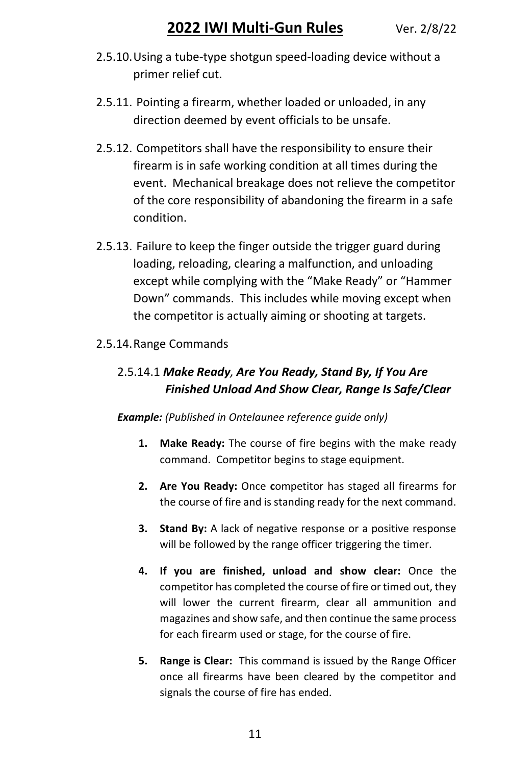- 2.5.10.Using a tube-type shotgun speed-loading device without a primer relief cut.
- 2.5.11. Pointing a firearm, whether loaded or unloaded, in any direction deemed by event officials to be unsafe.
- 2.5.12. Competitors shall have the responsibility to ensure their firearm is in safe working condition at all times during the event. Mechanical breakage does not relieve the competitor of the core responsibility of abandoning the firearm in a safe condition.
- 2.5.13. Failure to keep the finger outside the trigger guard during loading, reloading, clearing a malfunction, and unloading except while complying with the "Make Ready" or "Hammer Down" commands. This includes while moving except when the competitor is actually aiming or shooting at targets.

#### 2.5.14.Range Commands

#### 2.5.14.1 *Make Ready, Are You Ready, Stand By, If You Are Finished Unload And Show Clear, Range Is Safe/Clear*

#### *Example: (Published in Ontelaunee reference guide only)*

- **1. Make Ready:** The course of fire begins with the make ready command. Competitor begins to stage equipment.
- **2. Are You Ready:** Once **c**ompetitor has staged all firearms for the course of fire and is standing ready for the next command.
- **3. Stand By:** A lack of negative response or a positive response will be followed by the range officer triggering the timer.
- **4. If you are finished, unload and show clear:** Once the competitor has completed the course of fire or timed out, they will lower the current firearm, clear all ammunition and magazines and show safe, and then continue the same process for each firearm used or stage, for the course of fire.
- **5. Range is Clear:** This command is issued by the Range Officer once all firearms have been cleared by the competitor and signals the course of fire has ended.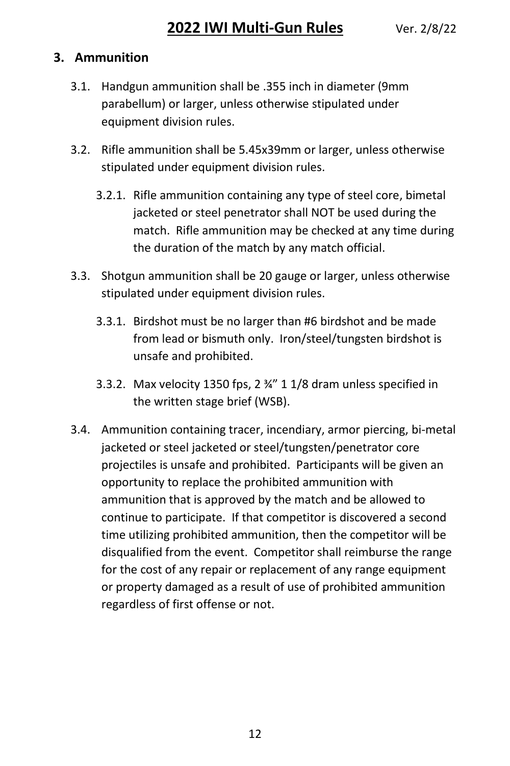#### **3. Ammunition**

- 3.1. Handgun ammunition shall be .355 inch in diameter (9mm parabellum) or larger, unless otherwise stipulated under equipment division rules.
- 3.2. Rifle ammunition shall be 5.45x39mm or larger, unless otherwise stipulated under equipment division rules.
	- 3.2.1. Rifle ammunition containing any type of steel core, bimetal jacketed or steel penetrator shall NOT be used during the match. Rifle ammunition may be checked at any time during the duration of the match by any match official.
- 3.3. Shotgun ammunition shall be 20 gauge or larger, unless otherwise stipulated under equipment division rules.
	- 3.3.1. Birdshot must be no larger than #6 birdshot and be made from lead or bismuth only. Iron/steel/tungsten birdshot is unsafe and prohibited.
	- 3.3.2. Max velocity 1350 fps, 2 ¾" 1 1/8 dram unless specified in the written stage brief (WSB).
- 3.4. Ammunition containing tracer, incendiary, armor piercing, bi-metal jacketed or steel jacketed or steel/tungsten/penetrator core projectiles is unsafe and prohibited. Participants will be given an opportunity to replace the prohibited ammunition with ammunition that is approved by the match and be allowed to continue to participate. If that competitor is discovered a second time utilizing prohibited ammunition, then the competitor will be disqualified from the event. Competitor shall reimburse the range for the cost of any repair or replacement of any range equipment or property damaged as a result of use of prohibited ammunition regardless of first offense or not.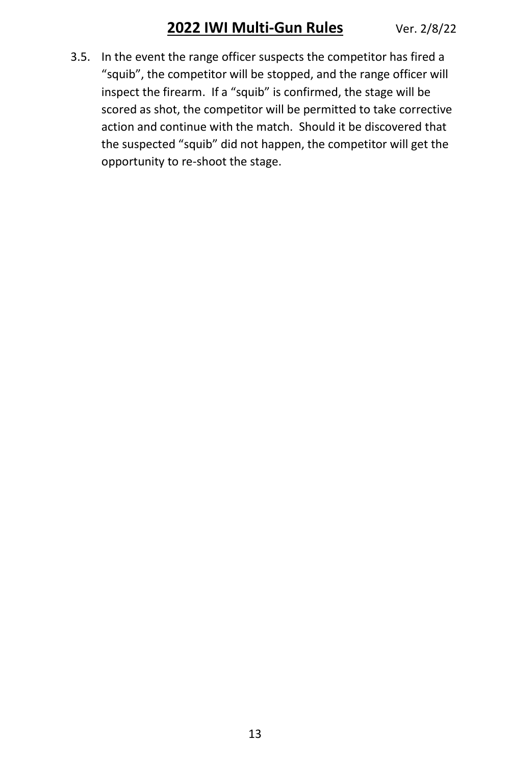3.5. In the event the range officer suspects the competitor has fired a "squib", the competitor will be stopped, and the range officer will inspect the firearm. If a "squib" is confirmed, the stage will be scored as shot, the competitor will be permitted to take corrective action and continue with the match. Should it be discovered that the suspected "squib" did not happen, the competitor will get the opportunity to re-shoot the stage.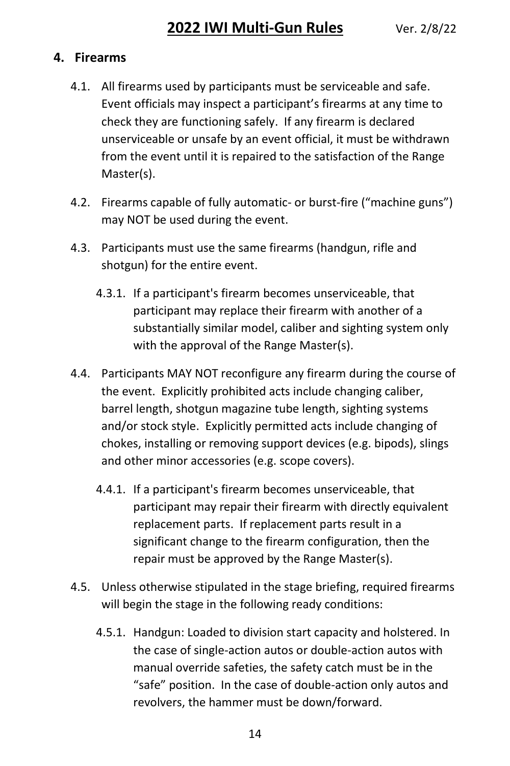#### **4. Firearms**

- 4.1. All firearms used by participants must be serviceable and safe. Event officials may inspect a participant's firearms at any time to check they are functioning safely. If any firearm is declared unserviceable or unsafe by an event official, it must be withdrawn from the event until it is repaired to the satisfaction of the Range Master(s).
- 4.2. Firearms capable of fully automatic- or burst-fire ("machine guns") may NOT be used during the event.
- 4.3. Participants must use the same firearms (handgun, rifle and shotgun) for the entire event.
	- 4.3.1. If a participant's firearm becomes unserviceable, that participant may replace their firearm with another of a substantially similar model, caliber and sighting system only with the approval of the Range Master(s).
- 4.4. Participants MAY NOT reconfigure any firearm during the course of the event. Explicitly prohibited acts include changing caliber, barrel length, shotgun magazine tube length, sighting systems and/or stock style. Explicitly permitted acts include changing of chokes, installing or removing support devices (e.g. bipods), slings and other minor accessories (e.g. scope covers).
	- 4.4.1. If a participant's firearm becomes unserviceable, that participant may repair their firearm with directly equivalent replacement parts. If replacement parts result in a significant change to the firearm configuration, then the repair must be approved by the Range Master(s).
- 4.5. Unless otherwise stipulated in the stage briefing, required firearms will begin the stage in the following ready conditions:
	- 4.5.1. Handgun: Loaded to division start capacity and holstered. In the case of single-action autos or double-action autos with manual override safeties, the safety catch must be in the "safe" position. In the case of double-action only autos and revolvers, the hammer must be down/forward.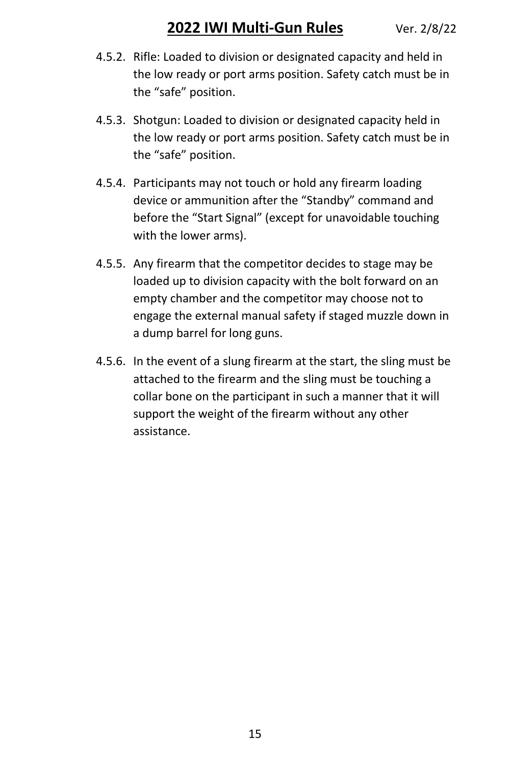- 4.5.2. Rifle: Loaded to division or designated capacity and held in the low ready or port arms position. Safety catch must be in the "safe" position.
- 4.5.3. Shotgun: Loaded to division or designated capacity held in the low ready or port arms position. Safety catch must be in the "safe" position.
- 4.5.4. Participants may not touch or hold any firearm loading device or ammunition after the "Standby" command and before the "Start Signal" (except for unavoidable touching with the lower arms).
- 4.5.5. Any firearm that the competitor decides to stage may be loaded up to division capacity with the bolt forward on an empty chamber and the competitor may choose not to engage the external manual safety if staged muzzle down in a dump barrel for long guns.
- 4.5.6. In the event of a slung firearm at the start, the sling must be attached to the firearm and the sling must be touching a collar bone on the participant in such a manner that it will support the weight of the firearm without any other assistance.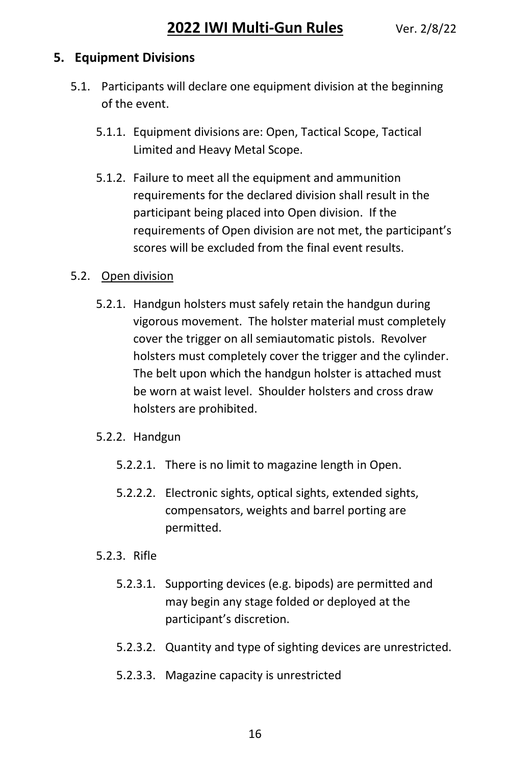#### **5. Equipment Divisions**

- 5.1. Participants will declare one equipment division at the beginning of the event.
	- 5.1.1. Equipment divisions are: Open, Tactical Scope, Tactical Limited and Heavy Metal Scope.
	- 5.1.2. Failure to meet all the equipment and ammunition requirements for the declared division shall result in the participant being placed into Open division. If the requirements of Open division are not met, the participant's scores will be excluded from the final event results.

#### 5.2. Open division

5.2.1. Handgun holsters must safely retain the handgun during vigorous movement. The holster material must completely cover the trigger on all semiautomatic pistols. Revolver holsters must completely cover the trigger and the cylinder. The belt upon which the handgun holster is attached must be worn at waist level. Shoulder holsters and cross draw holsters are prohibited.

#### 5.2.2. Handgun

- 5.2.2.1. There is no limit to magazine length in Open.
- 5.2.2.2. Electronic sights, optical sights, extended sights, compensators, weights and barrel porting are permitted.

#### 5.2.3. Rifle

- 5.2.3.1. Supporting devices (e.g. bipods) are permitted and may begin any stage folded or deployed at the participant's discretion.
- 5.2.3.2. Quantity and type of sighting devices are unrestricted.
- 5.2.3.3. Magazine capacity is unrestricted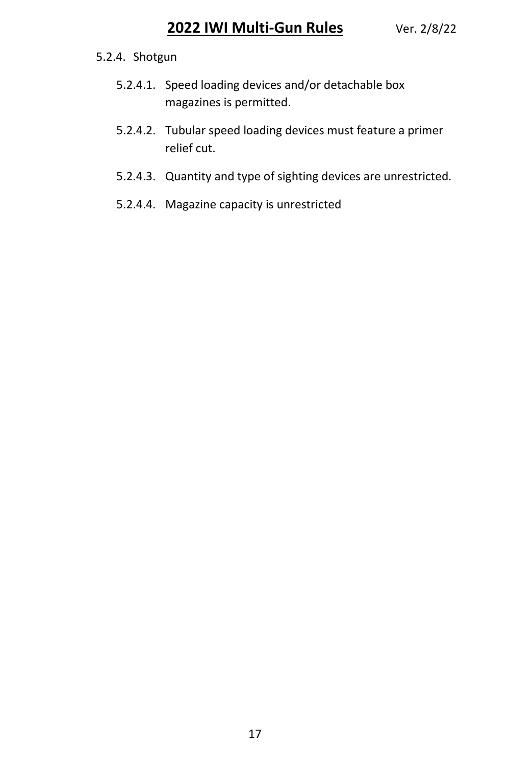#### 5.2.4. Shotgun

- 5.2.4.1. Speed loading devices and/or detachable box magazines is permitted.
- 5.2.4.2. Tubular speed loading devices must feature a primer relief cut.
- 5.2.4.3. Quantity and type of sighting devices are unrestricted.
- 5.2.4.4. Magazine capacity is unrestricted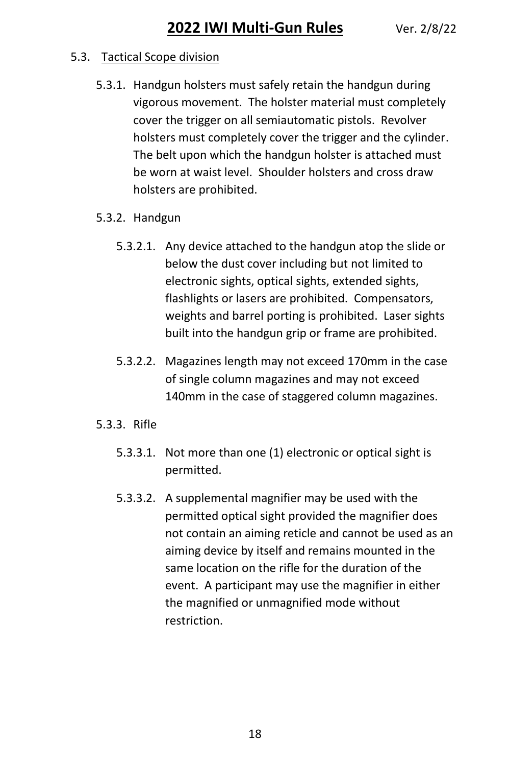#### 5.3. Tactical Scope division

- 5.3.1. Handgun holsters must safely retain the handgun during vigorous movement. The holster material must completely cover the trigger on all semiautomatic pistols. Revolver holsters must completely cover the trigger and the cylinder. The belt upon which the handgun holster is attached must be worn at waist level. Shoulder holsters and cross draw holsters are prohibited.
- 5.3.2. Handgun
	- 5.3.2.1. Any device attached to the handgun atop the slide or below the dust cover including but not limited to electronic sights, optical sights, extended sights, flashlights or lasers are prohibited. Compensators, weights and barrel porting is prohibited. Laser sights built into the handgun grip or frame are prohibited.
	- 5.3.2.2. Magazines length may not exceed 170mm in the case of single column magazines and may not exceed 140mm in the case of staggered column magazines.
- 5.3.3. Rifle
	- 5.3.3.1. Not more than one (1) electronic or optical sight is permitted.
	- 5.3.3.2. A supplemental magnifier may be used with the permitted optical sight provided the magnifier does not contain an aiming reticle and cannot be used as an aiming device by itself and remains mounted in the same location on the rifle for the duration of the event. A participant may use the magnifier in either the magnified or unmagnified mode without restriction.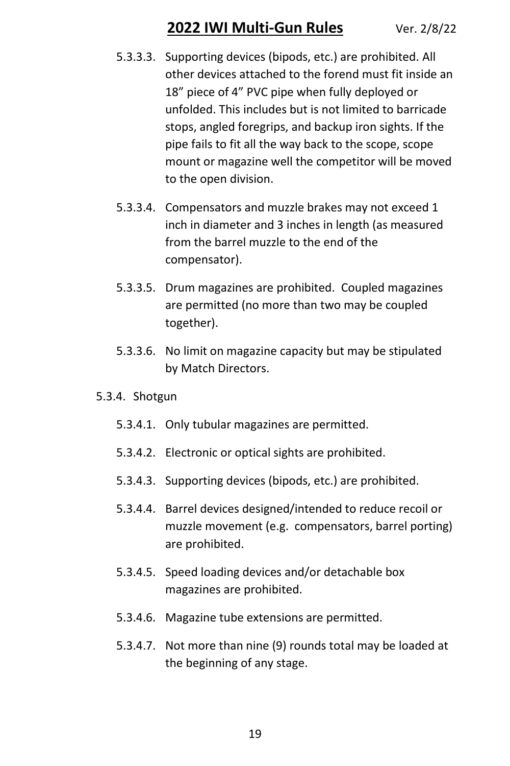- 5.3.3.3. Supporting devices (bipods, etc.) are prohibited. All other devices attached to the forend must fit inside an 18" piece of 4" PVC pipe when fully deployed or unfolded. This includes but is not limited to barricade stops, angled foregrips, and backup iron sights. If the pipe fails to fit all the way back to the scope, scope mount or magazine well the competitor will be moved to the open division.
- 5.3.3.4. Compensators and muzzle brakes may not exceed 1 inch in diameter and 3 inches in length (as measured from the barrel muzzle to the end of the compensator).
- 5.3.3.5. Drum magazines are prohibited. Coupled magazines are permitted (no more than two may be coupled together).
- 5.3.3.6. No limit on magazine capacity but may be stipulated by Match Directors.

#### 5.3.4. Shotgun

- 5.3.4.1. Only tubular magazines are permitted.
- 5.3.4.2. Electronic or optical sights are prohibited.
- 5.3.4.3. Supporting devices (bipods, etc.) are prohibited.
- 5.3.4.4. Barrel devices designed/intended to reduce recoil or muzzle movement (e.g. compensators, barrel porting) are prohibited.
- 5.3.4.5. Speed loading devices and/or detachable box magazines are prohibited.
- 5.3.4.6. Magazine tube extensions are permitted.
- 5.3.4.7. Not more than nine (9) rounds total may be loaded at the beginning of any stage.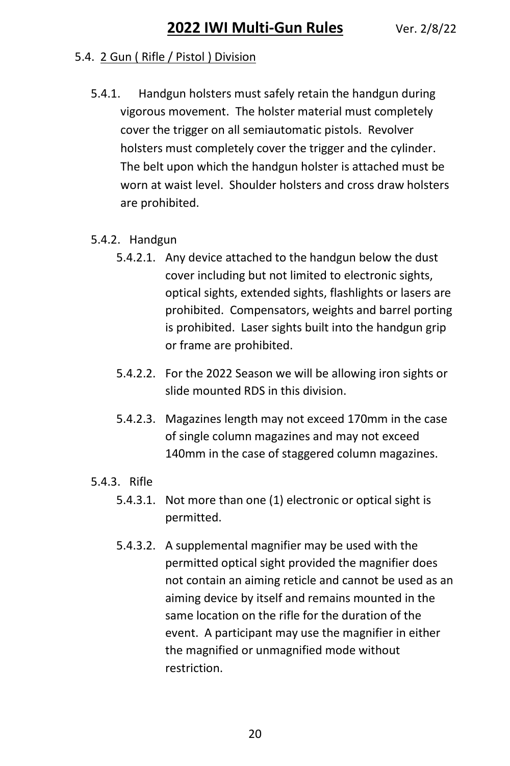#### 5.4. 2 Gun ( Rifle / Pistol ) Division

- 5.4.1. Handgun holsters must safely retain the handgun during vigorous movement. The holster material must completely cover the trigger on all semiautomatic pistols. Revolver holsters must completely cover the trigger and the cylinder. The belt upon which the handgun holster is attached must be worn at waist level. Shoulder holsters and cross draw holsters are prohibited.
- 5.4.2. Handgun
	- 5.4.2.1. Any device attached to the handgun below the dust cover including but not limited to electronic sights, optical sights, extended sights, flashlights or lasers are prohibited. Compensators, weights and barrel porting is prohibited. Laser sights built into the handgun grip or frame are prohibited.
	- 5.4.2.2. For the 2022 Season we will be allowing iron sights or slide mounted RDS in this division.
	- 5.4.2.3. Magazines length may not exceed 170mm in the case of single column magazines and may not exceed 140mm in the case of staggered column magazines.
- 5.4.3. Rifle
	- 5.4.3.1. Not more than one (1) electronic or optical sight is permitted.
	- 5.4.3.2. A supplemental magnifier may be used with the permitted optical sight provided the magnifier does not contain an aiming reticle and cannot be used as an aiming device by itself and remains mounted in the same location on the rifle for the duration of the event. A participant may use the magnifier in either the magnified or unmagnified mode without restriction.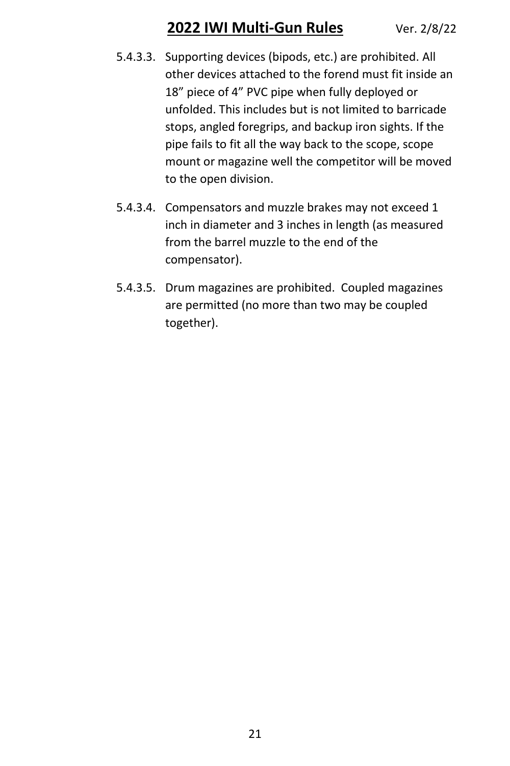- 5.4.3.3. Supporting devices (bipods, etc.) are prohibited. All other devices attached to the forend must fit inside an 18" piece of 4" PVC pipe when fully deployed or unfolded. This includes but is not limited to barricade stops, angled foregrips, and backup iron sights. If the pipe fails to fit all the way back to the scope, scope mount or magazine well the competitor will be moved to the open division.
- 5.4.3.4. Compensators and muzzle brakes may not exceed 1 inch in diameter and 3 inches in length (as measured from the barrel muzzle to the end of the compensator).
- 5.4.3.5. Drum magazines are prohibited. Coupled magazines are permitted (no more than two may be coupled together).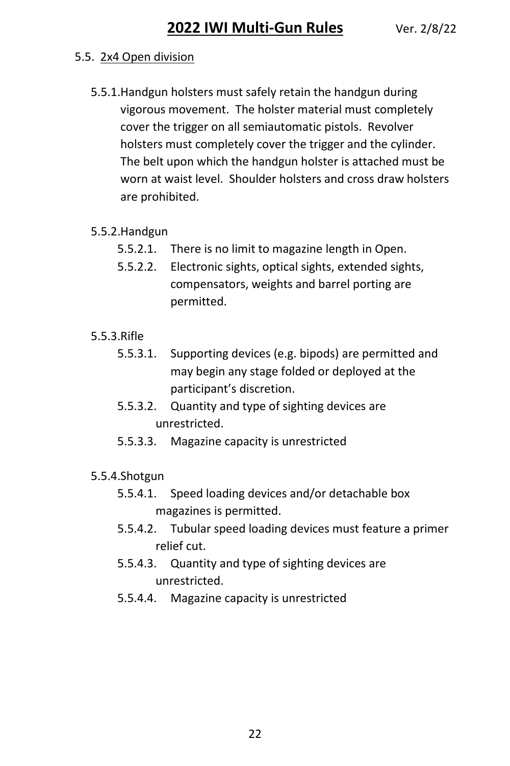#### 5.5. 2x4 Open division

- 5.5.1.Handgun holsters must safely retain the handgun during vigorous movement. The holster material must completely cover the trigger on all semiautomatic pistols. Revolver holsters must completely cover the trigger and the cylinder. The belt upon which the handgun holster is attached must be worn at waist level. Shoulder holsters and cross draw holsters are prohibited.
- 5.5.2.Handgun
	- 5.5.2.1. There is no limit to magazine length in Open.
	- 5.5.2.2. Electronic sights, optical sights, extended sights, compensators, weights and barrel porting are permitted.
- 5.5.3.Rifle
	- 5.5.3.1. Supporting devices (e.g. bipods) are permitted and may begin any stage folded or deployed at the participant's discretion.
	- 5.5.3.2. Quantity and type of sighting devices are unrestricted.
	- 5.5.3.3. Magazine capacity is unrestricted

#### 5.5.4.Shotgun

- 5.5.4.1. Speed loading devices and/or detachable box magazines is permitted.
- 5.5.4.2. Tubular speed loading devices must feature a primer relief cut.
- 5.5.4.3. Quantity and type of sighting devices are unrestricted.
- 5.5.4.4. Magazine capacity is unrestricted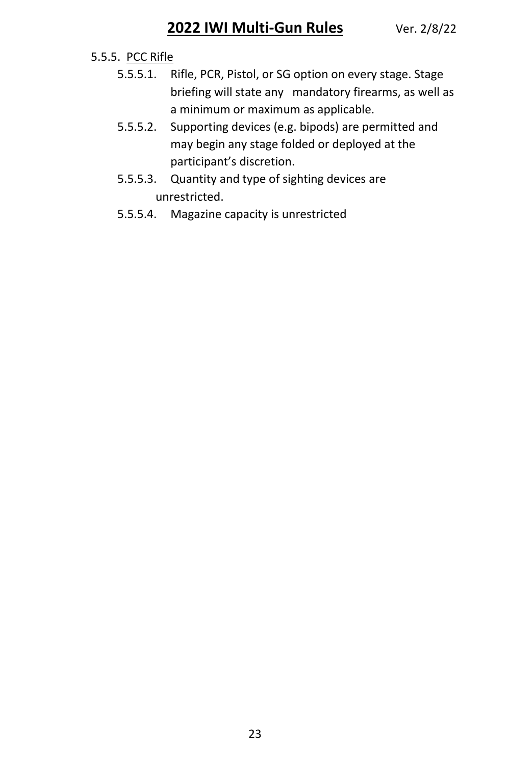#### 5.5.5. PCC Rifle

- 5.5.5.1. Rifle, PCR, Pistol, or SG option on every stage. Stage briefing will state any mandatory firearms, as well as a minimum or maximum as applicable.
- 5.5.5.2. Supporting devices (e.g. bipods) are permitted and may begin any stage folded or deployed at the participant's discretion.
- 5.5.5.3. Quantity and type of sighting devices are unrestricted.
- 5.5.5.4. Magazine capacity is unrestricted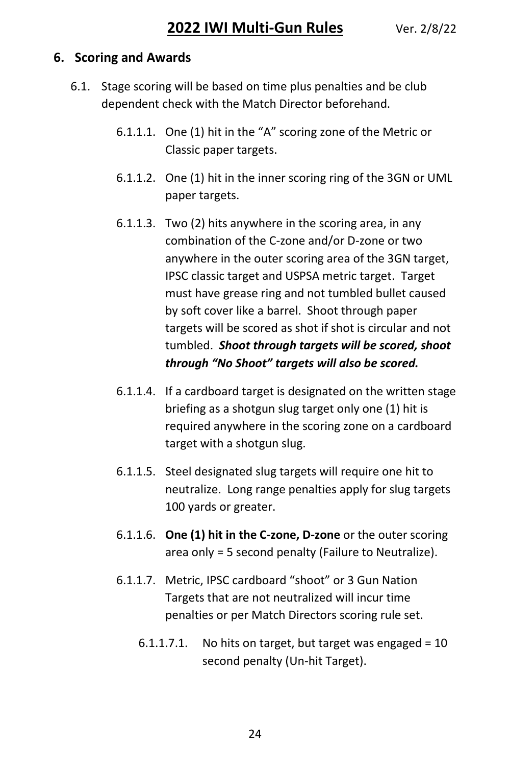#### **6. Scoring and Awards**

- 6.1. Stage scoring will be based on time plus penalties and be club dependent check with the Match Director beforehand.
	- 6.1.1.1. One (1) hit in the "A" scoring zone of the Metric or Classic paper targets.
	- 6.1.1.2. One (1) hit in the inner scoring ring of the 3GN or UML paper targets.
	- 6.1.1.3. Two (2) hits anywhere in the scoring area, in any combination of the C-zone and/or D-zone or two anywhere in the outer scoring area of the 3GN target, IPSC classic target and USPSA metric target. Target must have grease ring and not tumbled bullet caused by soft cover like a barrel. Shoot through paper targets will be scored as shot if shot is circular and not tumbled. *Shoot through targets will be scored, shoot through "No Shoot" targets will also be scored.*
	- 6.1.1.4. If a cardboard target is designated on the written stage briefing as a shotgun slug target only one (1) hit is required anywhere in the scoring zone on a cardboard target with a shotgun slug.
	- 6.1.1.5. Steel designated slug targets will require one hit to neutralize. Long range penalties apply for slug targets 100 yards or greater.
	- 6.1.1.6. **One (1) hit in the C-zone, D-zone** or the outer scoring area only = 5 second penalty (Failure to Neutralize).
	- 6.1.1.7. Metric, IPSC cardboard "shoot" or 3 Gun Nation Targets that are not neutralized will incur time penalties or per Match Directors scoring rule set.
		- 6.1.1.7.1. No hits on target, but target was engaged =  $10$ second penalty (Un-hit Target).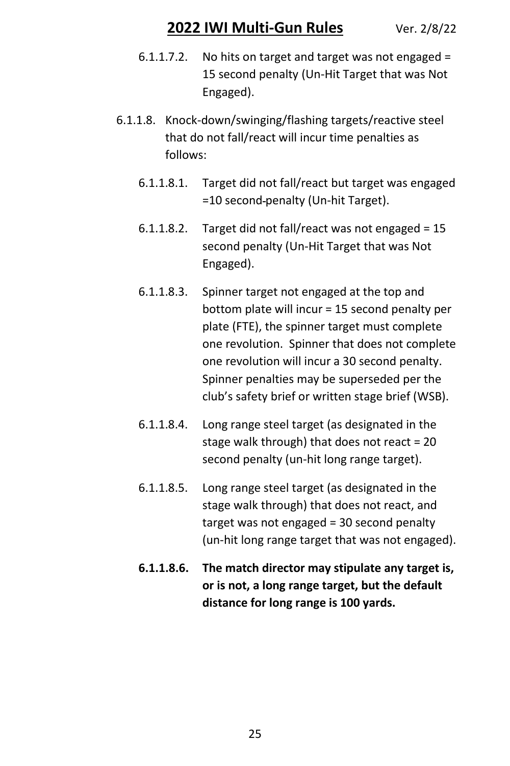- 6.1.1.7.2. No hits on target and target was not engaged = 15 second penalty (Un-Hit Target that was Not Engaged).
- 6.1.1.8. Knock-down/swinging/flashing targets/reactive steel that do not fall/react will incur time penalties as follows:
	- 6.1.1.8.1. Target did not fall/react but target was engaged =10 second penalty (Un-hit Target).
	- 6.1.1.8.2. Target did not fall/react was not engaged = 15 second penalty (Un-Hit Target that was Not Engaged).
	- 6.1.1.8.3. Spinner target not engaged at the top and bottom plate will incur = 15 second penalty per plate (FTE), the spinner target must complete one revolution. Spinner that does not complete one revolution will incur a 30 second penalty. Spinner penalties may be superseded per the club's safety brief or written stage brief (WSB).
	- 6.1.1.8.4. Long range steel target (as designated in the stage walk through) that does not react = 20 second penalty (un-hit long range target).
	- 6.1.1.8.5. Long range steel target (as designated in the stage walk through) that does not react, and target was not engaged = 30 second penalty (un-hit long range target that was not engaged).
	- **6.1.1.8.6. The match director may stipulate any target is, or is not, a long range target, but the default distance for long range is 100 yards.**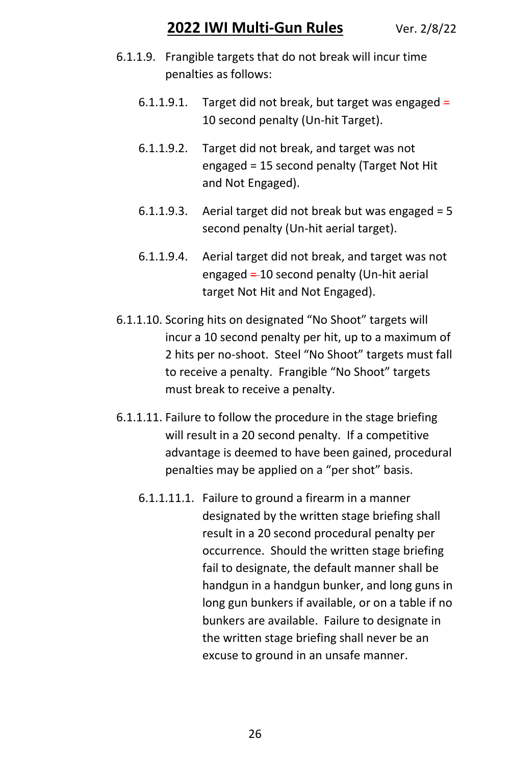- 6.1.1.9. Frangible targets that do not break will incur time penalties as follows:
	- 6.1.1.9.1. Target did not break, but target was engaged  $=$ 10 second penalty (Un-hit Target).
	- 6.1.1.9.2. Target did not break, and target was not engaged = 15 second penalty (Target Not Hit and Not Engaged).
	- 6.1.1.9.3. Aerial target did not break but was engaged  $= 5$ second penalty (Un-hit aerial target).
	- 6.1.1.9.4. Aerial target did not break, and target was not engaged  $=$  10 second penalty (Un-hit aerial target Not Hit and Not Engaged).
- 6.1.1.10. Scoring hits on designated "No Shoot" targets will incur a 10 second penalty per hit, up to a maximum of 2 hits per no-shoot. Steel "No Shoot" targets must fall to receive a penalty. Frangible "No Shoot" targets must break to receive a penalty.
- 6.1.1.11. Failure to follow the procedure in the stage briefing will result in a 20 second penalty. If a competitive advantage is deemed to have been gained, procedural penalties may be applied on a "per shot" basis.
	- 6.1.1.11.1. Failure to ground a firearm in a manner designated by the written stage briefing shall result in a 20 second procedural penalty per occurrence. Should the written stage briefing fail to designate, the default manner shall be handgun in a handgun bunker, and long guns in long gun bunkers if available, or on a table if no bunkers are available. Failure to designate in the written stage briefing shall never be an excuse to ground in an unsafe manner.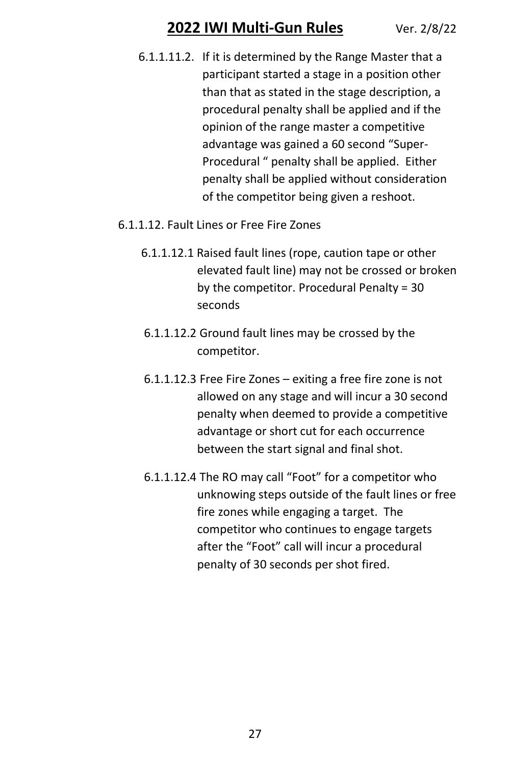- 6.1.1.11.2. If it is determined by the Range Master that a participant started a stage in a position other than that as stated in the stage description, a procedural penalty shall be applied and if the opinion of the range master a competitive advantage was gained a 60 second "Super-Procedural " penalty shall be applied. Either penalty shall be applied without consideration of the competitor being given a reshoot.
- 6.1.1.12. Fault Lines or Free Fire Zones
	- 6.1.1.12.1 Raised fault lines (rope, caution tape or other elevated fault line) may not be crossed or broken by the competitor. Procedural Penalty = 30 seconds
	- 6.1.1.12.2 Ground fault lines may be crossed by the competitor.
	- 6.1.1.12.3 Free Fire Zones exiting a free fire zone is not allowed on any stage and will incur a 30 second penalty when deemed to provide a competitive advantage or short cut for each occurrence between the start signal and final shot.
	- 6.1.1.12.4 The RO may call "Foot" for a competitor who unknowing steps outside of the fault lines or free fire zones while engaging a target. The competitor who continues to engage targets after the "Foot" call will incur a procedural penalty of 30 seconds per shot fired.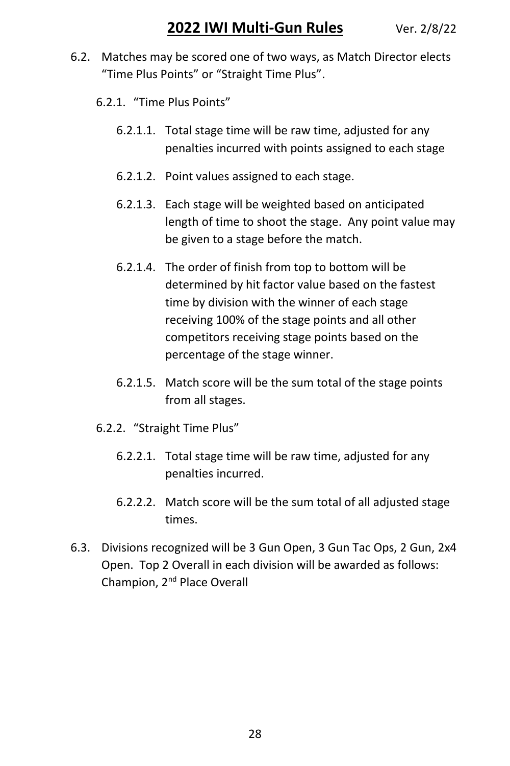- 6.2. Matches may be scored one of two ways, as Match Director elects "Time Plus Points" or "Straight Time Plus".
	- 6.2.1. "Time Plus Points"
		- 6.2.1.1. Total stage time will be raw time, adjusted for any penalties incurred with points assigned to each stage
		- 6.2.1.2. Point values assigned to each stage.
		- 6.2.1.3. Each stage will be weighted based on anticipated length of time to shoot the stage. Any point value may be given to a stage before the match.
		- 6.2.1.4. The order of finish from top to bottom will be determined by hit factor value based on the fastest time by division with the winner of each stage receiving 100% of the stage points and all other competitors receiving stage points based on the percentage of the stage winner.
		- 6.2.1.5. Match score will be the sum total of the stage points from all stages.
	- 6.2.2. "Straight Time Plus"
		- 6.2.2.1. Total stage time will be raw time, adjusted for any penalties incurred.
		- 6.2.2.2. Match score will be the sum total of all adjusted stage times.
- 6.3. Divisions recognized will be 3 Gun Open, 3 Gun Tac Ops, 2 Gun, 2x4 Open. Top 2 Overall in each division will be awarded as follows: Champion, 2nd Place Overall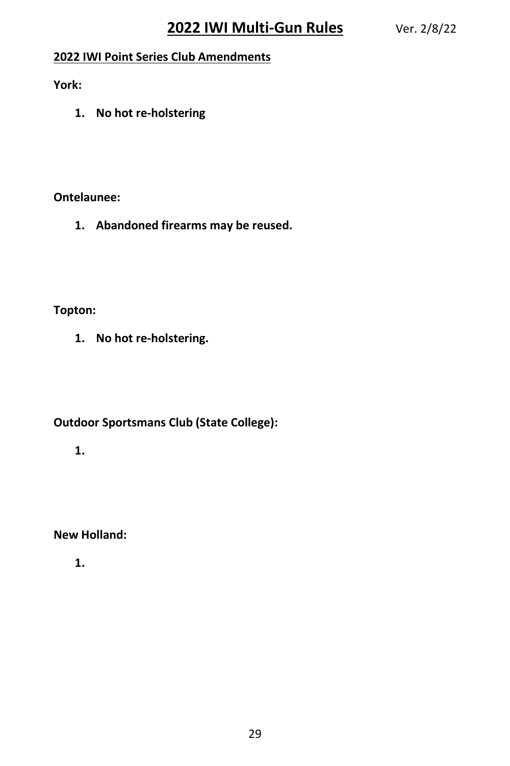#### **2022 IWI Point Series Club Amendments**

**York:**

**1. No hot re-holstering**

#### **Ontelaunee:**

**1. Abandoned firearms may be reused.**

#### **Topton:**

**1. No hot re-holstering.**

#### **Outdoor Sportsmans Club (State College):**

**1.**

#### **New Holland:**

**1.**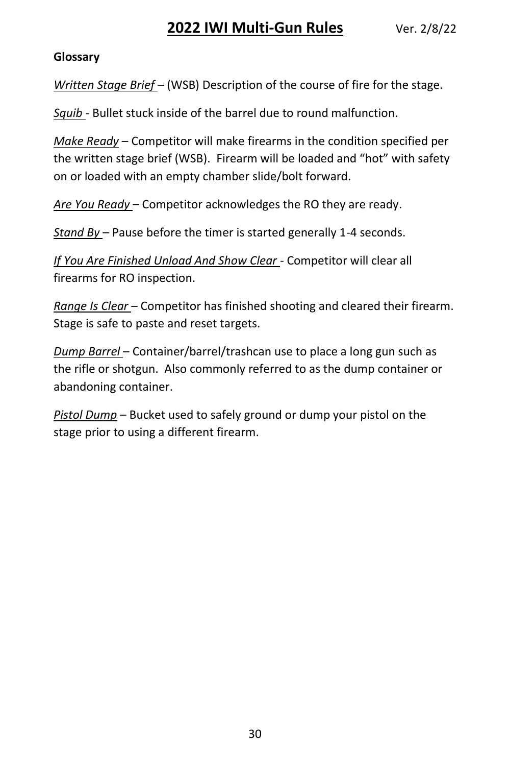#### **Glossary**

*Written Stage Brief* – (WSB) Description of the course of fire for the stage.

*Squib* - Bullet stuck inside of the barrel due to round malfunction.

*Make Ready* – Competitor will make firearms in the condition specified per the written stage brief (WSB). Firearm will be loaded and "hot" with safety on or loaded with an empty chamber slide/bolt forward.

*Are You Ready* – Competitor acknowledges the RO they are ready.

*Stand By* – Pause before the timer is started generally 1-4 seconds.

*If You Are Finished Unload And Show Clear* - Competitor will clear all firearms for RO inspection.

*Range Is Clear* – Competitor has finished shooting and cleared their firearm. Stage is safe to paste and reset targets.

*Dump Barrel* – Container/barrel/trashcan use to place a long gun such as the rifle or shotgun. Also commonly referred to as the dump container or abandoning container.

*Pistol Dump* – Bucket used to safely ground or dump your pistol on the stage prior to using a different firearm.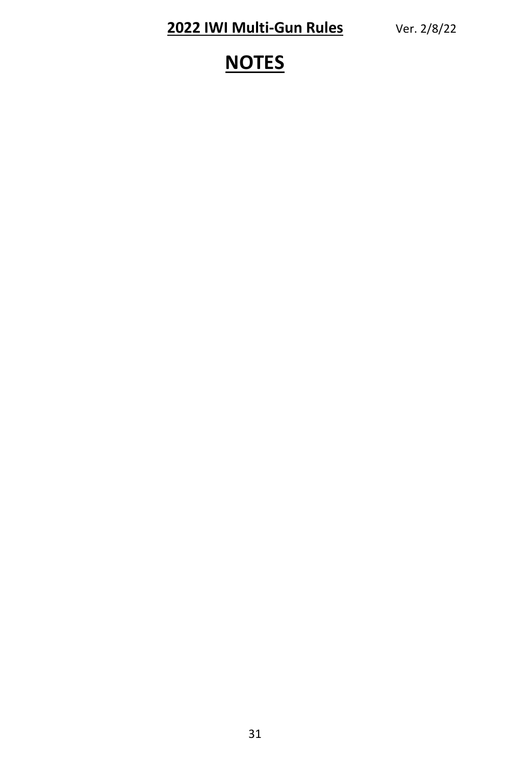# **NOTES**